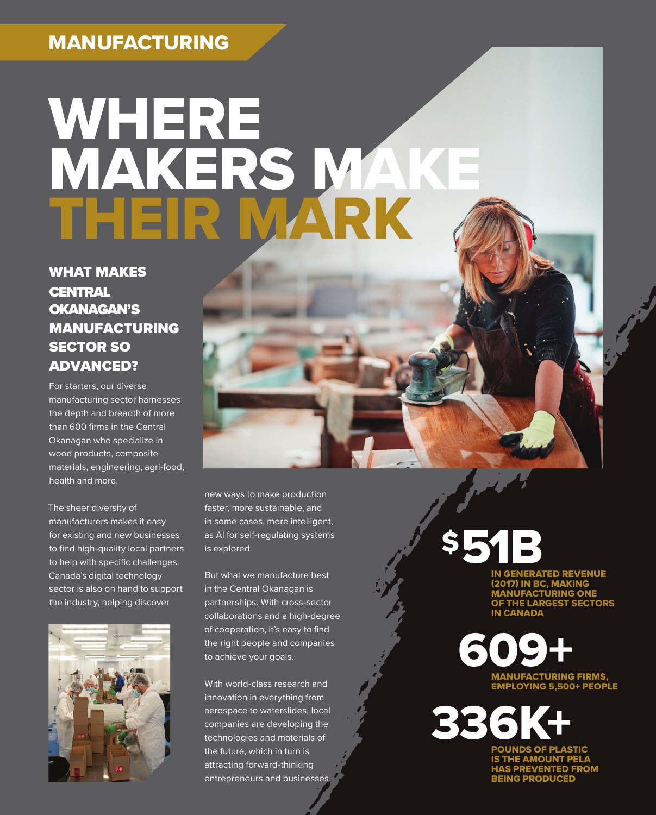# MANUFACTURING

# **WHERE** MAKERS MAKE THEIR MARK

### WHAT MAKES **CENTRAL** OKANAGAN'S MANUFACTURING SECTOR SO ADVANCED?

For starters, our diverse manufacturing sector harnesses the depth and breadth of more than 600 firms in the Central Okanagan who specialize in wood products, composite materials, engineering, agri-food, health and more.

The sheer diversity of manufacturers makes it easy for existing and new businesses to find high-quality local partners to help with specific challenges. Canada's digital technology sector is also on hand to support the industry, helping discover



new ways to make production faster, more sustainable, and in some cases, more intelligent, as AI for self-regulating systems is explored.

But what we manufacture best in the Central Okanagan is partnerships. With cross-sector collaborations and a high-degree of cooperation, it's easy to find the right people and companies to achieve your goals.

With world-class research and innovation in everything from aerospace to waterslides, local companies are developing the technologies and materials of the future, which in turn is attracting forward-thinking entrepreneurs and businesses.

\$51B

**ENERATED REVENUE IN BC, MAKING** MANUFACTURING ONE LARGEST SECTORS IN CANADA

609<sup>+</sup> EMPLOYING 5,500+ PEOPLE

POUNDS OF PLASTIC IS THE AMOUNT PELA **REVENTED FROM** BEING PRODUCED 336K+